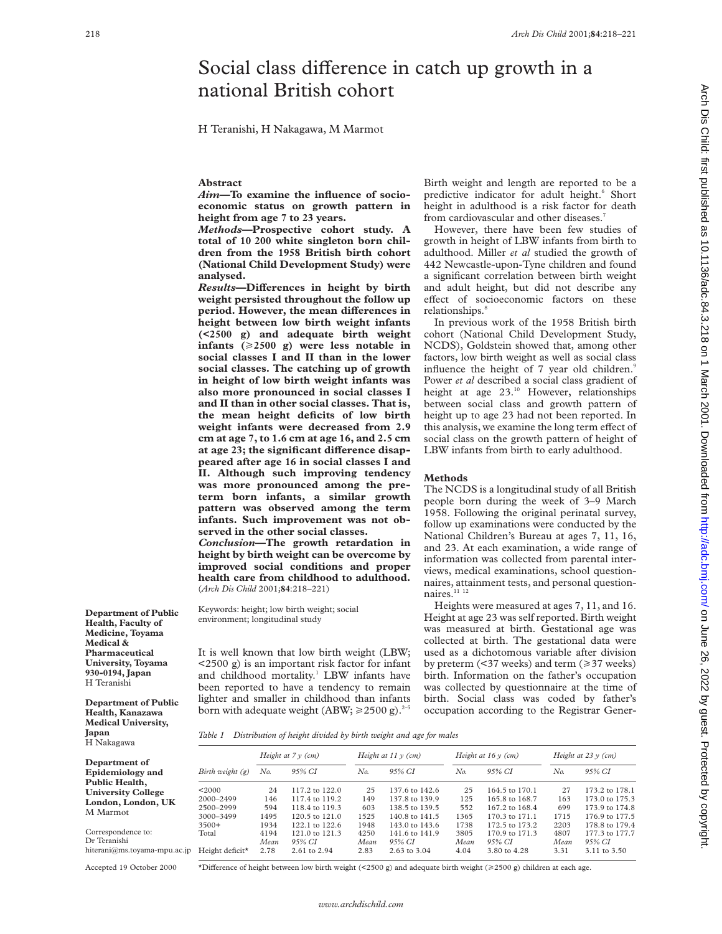# Social class difference in catch up growth in a national British cohort

H Teranishi, H Nakagawa, M Marmot

## **Abstract**

*Aim***—To examine the influence of socioeconomic status on growth pattern in height from age 7 to 23 years.**

*Methods***—Prospective cohort study. A total of 10 200 white singleton born children from the 1958 British birth cohort (National Child Development Study) were analysed.**

 $Results$ —Differences in height by birth **weight persisted throughout the follow up period.** However, the mean differences in **height between low birth weight infants (<2500 g) and adequate birth weight infants**  $(\geq 2500 \text{ g})$  were less notable in **social classes I and II than in the lower social classes. The catching up of growth in height of low birth weight infants was also more pronounced in social classes I and II than in other social classes. That is, the mean height deficits of low birth weight infants were decreased from 2.9 cm at age 7, to 1.6 cm at age 16, and 2.5 cm** at age 23; the significant difference disap**peared after age 16 in social classes I and II. Although such improving tendency was more pronounced among the preterm born infants, a similar growth pattern was observed among the term infants. Such improvement was not observed in the other social classes.**

*Conclusion***—The growth retardation in height by birth weight can be overcome by improved social conditions and proper health care from childhood to adulthood.** (*Arch Dis Child* 2001;**84**:218–221)

Keywords: height; low birth weight; social environment; longitudinal study

It is well known that low birth weight (LBW; <2500 g) is an important risk factor for infant and childhood mortality.<sup>1</sup> LBW infants have been reported to have a tendency to remain lighter and smaller in childhood than infants born with adequate weight (ABW;  $\geq 2500$  g).<sup>2–5</sup>

Birth weight and length are reported to be a predictive indicator for adult height.<sup>6</sup> Short height in adulthood is a risk factor for death from cardiovascular and other diseases.<sup>7</sup>

However, there have been few studies of growth in height of LBW infants from birth to adulthood. Miller *et al* studied the growth of 442 Newcastle-upon-Tyne children and found a significant correlation between birth weight and adult height, but did not describe any effect of socioeconomic factors on these relationships.<sup>8</sup>

In previous work of the 1958 British birth cohort (National Child Development Study, NCDS), Goldstein showed that, among other factors, low birth weight as well as social class influence the height of 7 year old children.<sup>9</sup> Power *et al* described a social class gradient of height at age  $23.^{10}$  However, relationships between social class and growth pattern of height up to age 23 had not been reported. In this analysis, we examine the long term effect of social class on the growth pattern of height of LBW infants from birth to early adulthood.

### **Methods**

The NCDS is a longitudinal study of all British people born during the week of 3–9 March 1958. Following the original perinatal survey, follow up examinations were conducted by the National Children's Bureau at ages 7, 11, 16, and 23. At each examination, a wide range of information was collected from parental interviews, medical examinations, school questionnaires, attainment tests, and personal questionnaires.<sup>11 12</sup>

Heights were measured at ages 7, 11, and 16. Height at age 23 was self reported. Birth weight was measured at birth. Gestational age was collected at birth. The gestational data were used as a dichotomous variable after division by preterm  $(37$  weeks) and term  $(\geq 37$  weeks) birth. Information on the father's occupation was collected by questionnaire at the time of birth. Social class was coded by father's occupation according to the Registrar Gener-

**Department of Public Health, Faculty of Medicine, Toyama Medical & Pharmaceutical University, Toyama 930-0194, Japan** H Teranishi

**Department of Public Health, Kanazawa Medical University, Japan** H Nakagawa

*Table 1 Distribution of height divided by birth weight and age for males*

| 11 1 JULIULU VI U            |                             |                         |                    |                          |                |                      |                |                          |                |  |
|------------------------------|-----------------------------|-------------------------|--------------------|--------------------------|----------------|----------------------|----------------|--------------------------|----------------|--|
|                              |                             | Height at $7 \vee$ (cm) |                    | Height at $11 \vee$ (cm) |                | Height at $16y$ (cm) |                | Height at $23 \vee$ (cm) |                |  |
| Department of                |                             |                         |                    |                          |                |                      |                |                          |                |  |
| Epidemiology and             | Birth weight $(g)$          | No.                     | 95% CI             | No.                      | 95% CI         | No.                  | 95% CI         | No.                      | 95% CI         |  |
| Public Health,               |                             |                         |                    |                          |                |                      |                |                          |                |  |
| <b>University College</b>    | < 2000                      | 24                      | 117.2 to 122.0     | 25                       | 137.6 to 142.6 | 25                   | 164.5 to 170.1 | 27                       | 173.2 to 178.1 |  |
| London, London, UK           | 2000-2499                   | 146                     | 117.4 to 119.2     | 149                      | 137.8 to 139.9 | 125                  | 165.8 to 168.7 | 163                      | 173.0 to 175.3 |  |
|                              | 2500-2999                   | 594                     | 118.4 to 119.3     | 603                      | 138.5 to 139.5 | 552                  | 167.2 to 168.4 | 699                      | 173.9 to 174.8 |  |
| M Marmot                     | 3000-3499                   | 1495                    | $120.5$ to $121.0$ | 1525                     | 140.8 to 141.5 | 1365                 | 170.3 to 171.1 | 1715                     | 176.9 to 177.5 |  |
|                              | $3500+$                     | 1934                    | 122.1 to 122.6     | 1948                     | 143.0 to 143.6 | 1738                 | 172.5 to 173.2 | 2203                     | 178.8 to 179.4 |  |
| Correspondence to:           | Total                       | 4194                    | $121.0$ to $121.3$ | 4250                     | 141.6 to 141.9 | 3805                 | 170.9 to 171.3 | 4807                     | 177.3 to 177.7 |  |
| Dr Teranishi                 |                             | Mean                    | 95% CI             | Mean                     | 95% CI         | Mean                 | 95% CI         | Mean                     | 95% CI         |  |
| hiterani@ms.tovama-mpu.ac.jp | Height deficit <sup>*</sup> | 2.78                    | 2.61 to 2.94       | 2.83                     | 2.63 to 3.04   | 4.04                 | 3.80 to 4.28   | 3.31                     | 3.11 to 3.50   |  |
|                              |                             |                         |                    |                          |                |                      |                |                          |                |  |

hiterani@ms.toyama-mpu. Accepted 19 October 2000

\*Difference of height between low birth weight (<2500 g) and adequate birth weight ( $\geq$ 2500 g) children at each age.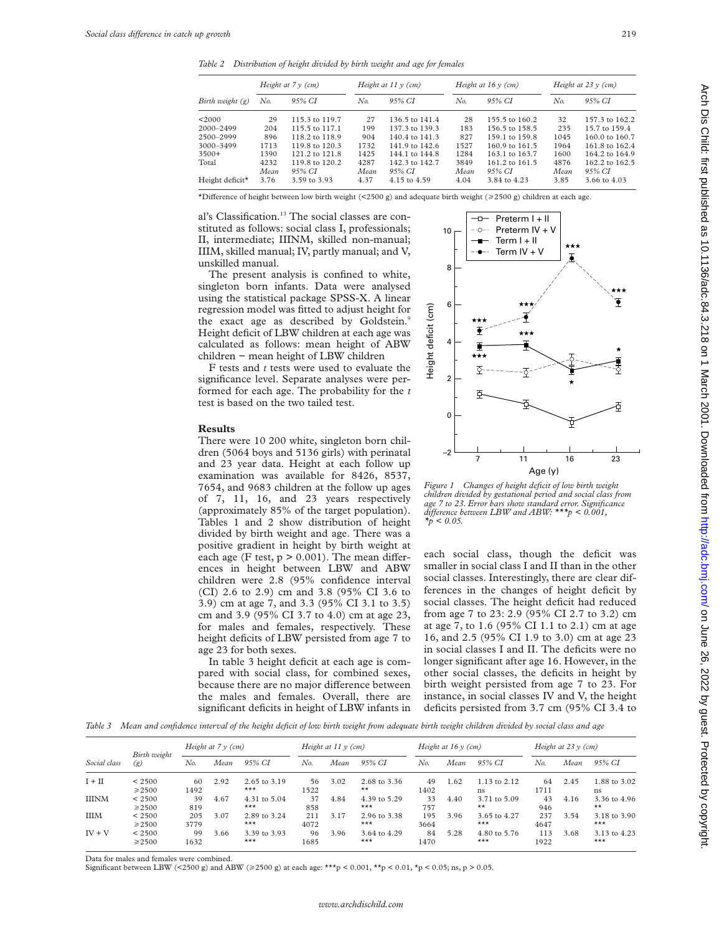*Table 2 Distribution of height divided by birth weight and age for females*

| Birth weight $(g)$          |      | Height at $7y$ (cm) |      | Height at $11 \vee$ (cm) |      | Height at $16y$ (cm) | Height at $23y$ (cm) |                |  |
|-----------------------------|------|---------------------|------|--------------------------|------|----------------------|----------------------|----------------|--|
|                             | No.  | 95% CI              | No.  | 95% CI                   | No.  | 95% CI               | No.                  | 95% CI         |  |
| <2000                       | 29   | 115.3 to 119.7      | 27   | 136.5 to 141.4           | 28   | 155.5 to 160.2       | 32                   | 157.3 to 162.2 |  |
| 2000-2499                   | 204  | 115.5 to 117.1      | 199  | 137.3 to 139.3           | 183  | 156.5 to 158.5       | 235                  | 15.7 to 159.4  |  |
| 2500-2999                   | 896  | 118.2 to 118.9      | 904  | 140.4 to 141.3           | 827  | 159.1 to 159.8       | 1045                 | 160.0 to 160.7 |  |
| 3000-3499                   | 1713 | 119.8 to 120.3      | 1732 | 141.9 to 142.6           | 1527 | 160.9 to 161.5       | 1964                 | 161.8 to 162.4 |  |
| $3500+$                     | 1390 | 121.2 to 121.8      | 1425 | 144.1 to 144.8           | 1284 | 163.1 to 163.7       | 1600                 | 164.2 to 164.9 |  |
| Total                       | 4232 | 119.8 to 120.2      | 4287 | 142.3 to 142.7           | 3849 | 161.2 to 161.5       | 4876                 | 162.2 to 162.5 |  |
|                             | Mean | 95% CI              | Mean | 95% CI                   | Mean | 95% CI               | Mean                 | 95% CI         |  |
| Height deficit <sup>*</sup> | 3.76 | 3.59 to 3.93        | 4.37 | 4.15 to 4.59             | 4.04 | 3.84 to 4.23         | 3.85                 | 3.66 to 4.03   |  |

\*Difference of height between low birth weight (<2500 g) and adequate birth weight ( $\geq$ 2500 g) children at each age.

al's Classification.<sup>13</sup> The social classes are constituted as follows: social class I, professionals; II, intermediate; IIINM, skilled non-manual; IIIM, skilled manual; IV, partly manual; and V, unskilled manual.

The present analysis is confined to white, singleton born infants. Data were analysed using the statistical package SPSS-X. A linear regression model was fitted to adjust height for the exact age as described by Goldstein.<sup>9</sup> Height deficit of LBW children at each age was calculated as follows: mean height of ABW children − mean height of LBW children

F tests and *t* tests were used to evaluate the significance level. Separate analyses were performed for each age. The probability for the *t* test is based on the two tailed test.

#### **Results**

There were 10 200 white, singleton born children (5064 boys and 5136 girls) with perinatal and 23 year data. Height at each follow up examination was available for 8426, 8537, 7654, and 9683 children at the follow up ages of 7, 11, 16, and 23 years respectively (approximately 85% of the target population). Tables 1 and 2 show distribution of height divided by birth weight and age. There was a positive gradient in height by birth weight at each age (F test,  $p > 0.001$ ). The mean differences in height between LBW and ABW children were 2.8 (95% confidence interval (CI) 2.6 to 2.9) cm and 3.8 (95% CI 3.6 to 3.9) cm at age 7, and 3.3 (95% CI 3.1 to 3.5) cm and 3.9 (95% CI 3.7 to 4.0) cm at age 23, for males and females, respectively. These height deficits of LBW persisted from age 7 to age 23 for both sexes.

In table 3 height deficit at each age is compared with social class, for combined sexes, because there are no major difference between the males and females. Overall, there are significant deficits in height of LBW infants in



*Figure 1 Changes of height deficit of low birth weight children divided by gestational period and social class from age 7 to 23. Error bars show standard error. Significance diVerence between LBW and ABW: \*\*\*p < 0.001, \*p < 0.05.*

each social class, though the deficit was smaller in social class I and II than in the other social classes. Interestingly, there are clear differences in the changes of height deficit by social classes. The height deficit had reduced from age 7 to 23: 2.9 (95% CI 2.7 to 3.2) cm at age 7, to 1.6 (95% CI 1.1 to 2.1) cm at age 16, and 2.5 (95% CI 1.9 to 3.0) cm at age 23 in social classes I and II. The deficits were no longer significant after age 16. However, in the other social classes, the deficits in height by birth weight persisted from age 7 to 23. For instance, in social classes IV and V, the height deficits persisted from 3.7 cm (95% CI 3.4 to

*Table 3 Mean and confidence interval of the height deficit of low birth weight from adequate birth weight children divided by social class and age*

| Social class | Birth weight<br>$\left( g\right)$ | Height at $7y$ (cm) |      | Height at $11 y$ (cm)            |             |      | Height at $16y$ (cm)         |             |      | Height at $23 \text{ y } (\text{cm})$ |             |      |                              |
|--------------|-----------------------------------|---------------------|------|----------------------------------|-------------|------|------------------------------|-------------|------|---------------------------------------|-------------|------|------------------------------|
|              |                                   | No.                 | Mean | 95% CI                           | No.         | Mean | 95% CI                       | No.         | Mean | 95% CI                                | No.         | Mean | 95% CI                       |
| $I + II$     | < 2500<br>$\geq 2500$             | 60<br>1492          | 2.92 | $2.65 \text{ to } 3.19$<br>$***$ | 56.<br>1522 | 3.02 | 2.68 to 3.36<br>$\star\star$ | 49<br>1402  | 1.62 | 1.13 to 2.12<br>ns                    | 64<br>1711  | 2.45 | 1.88 to 3.02<br>ns           |
| <b>IIINM</b> | < 2500<br>$\geq 2500$             | 39<br>819           | 4.67 | 4.31 to 5.04<br>$***$            | 37<br>858   | 4.84 | 4.39 to 5.29<br>$***$        | 33<br>757   | 4.40 | 3.71 to 5.09<br>$***$                 | 43<br>946   | 4.16 | 3.36 to 4.96<br>$\star\star$ |
| <b>IIIM</b>  | < 2500<br>$\geq 2500$             | 205<br>3779         | 3.07 | 2.89 to 3.24<br>$***$            | 211<br>4072 | 3.17 | 2.96 to 3.38<br>$***$        | 195<br>3664 | 3.96 | 3.65 to 4.27<br>$***$                 | 237<br>4647 | 3.54 | 3.18 to 3.90<br>$***$        |
| $IV + V$     | < 2500<br>$\geq 2500$             | 99<br>1632          | 3.66 | 3.39 to 3.93<br>$***$            | 96<br>1685  | 3.96 | 3.64 to 4.29<br>$***$        | 84<br>1470  | 5.28 | 4.80 to 5.76<br>$***$                 | 113<br>1922 | 3.68 | 3.13 to 4.23<br>$***$        |

Data for males and females were combined.

Significant between LBW (<2500 g) and ABW ( $\geq$ 2500 g) at each age: \*\*\*p < 0.001, \*\*p < 0.01, \*p < 0.05; ns, p > 0.05.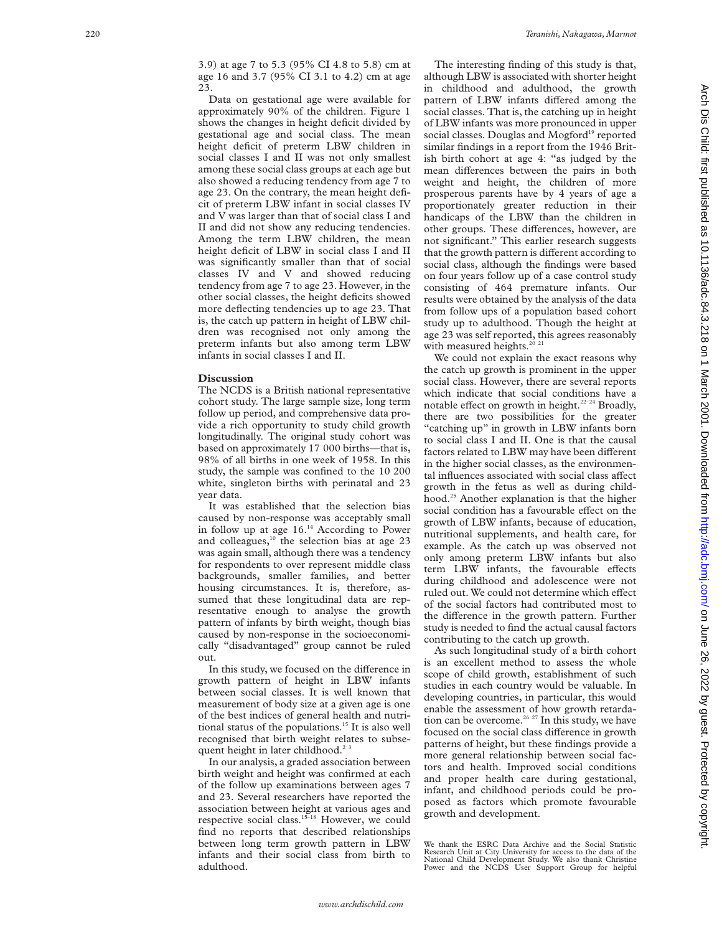3.9) at age 7 to 5.3 (95% CI 4.8 to 5.8) cm at age 16 and 3.7 (95% CI 3.1 to 4.2) cm at age 23.

Data on gestational age were available for approximately 90% of the children. Figure 1 shows the changes in height deficit divided by gestational age and social class. The mean height deficit of preterm LBW children in social classes I and II was not only smallest among these social class groups at each age but also showed a reducing tendency from age 7 to age 23. On the contrary, the mean height deficit of preterm LBW infant in social classes IV and V was larger than that of social class I and II and did not show any reducing tendencies. Among the term LBW children, the mean height deficit of LBW in social class I and II was significantly smaller than that of social classes IV and V and showed reducing tendency from age 7 to age 23. However, in the other social classes, the height deficits showed more deflecting tendencies up to age 23. That is, the catch up pattern in height of LBW children was recognised not only among the preterm infants but also among term LBW infants in social classes I and II.

#### **Discussion**

The NCDS is a British national representative cohort study. The large sample size, long term follow up period, and comprehensive data provide a rich opportunity to study child growth longitudinally. The original study cohort was based on approximately 17 000 births—that is, 98% of all births in one week of 1958. In this study, the sample was confined to the 10 200 white, singleton births with perinatal and 23 year data.

It was established that the selection bias caused by non-response was acceptably small in follow up at age 16.14 According to Power and colleagues, $10$  the selection bias at age 23 was again small, although there was a tendency for respondents to over represent middle class backgrounds, smaller families, and better housing circumstances. It is, therefore, assumed that these longitudinal data are representative enough to analyse the growth pattern of infants by birth weight, though bias caused by non-response in the socioeconomically "disadvantaged" group cannot be ruled out.

In this study, we focused on the difference in growth pattern of height in LBW infants between social classes. It is well known that measurement of body size at a given age is one of the best indices of general health and nutritional status of the populations.15 It is also well recognised that birth weight relates to subsequent height in later childhood.<sup>23</sup>

In our analysis, a graded association between birth weight and height was confirmed at each of the follow up examinations between ages 7 and 23. Several researchers have reported the association between height at various ages and respective social class.<sup>15-18</sup> However, we could find no reports that described relationships between long term growth pattern in LBW infants and their social class from birth to adulthood.

The interesting finding of this study is that, although LBW is associated with shorter height in childhood and adulthood, the growth pattern of LBW infants differed among the social classes. That is, the catching up in height of LBW infants was more pronounced in upper social classes. Douglas and Mogford<sup>19</sup> reported similar findings in a report from the 1946 British birth cohort at age 4: "as judged by the mean differences between the pairs in both weight and height, the children of more prosperous parents have by 4 years of age a proportionately greater reduction in their handicaps of the LBW than the children in other groups. These differences, however, are not significant." This earlier research suggests that the growth pattern is different according to social class, although the findings were based on four years follow up of a case control study consisting of 464 premature infants. Our results were obtained by the analysis of the data from follow ups of a population based cohort study up to adulthood. Though the height at age 23 was self reported, this agrees reasonably with measured heights.<sup>20</sup><sup>21</sup>

We could not explain the exact reasons why the catch up growth is prominent in the upper social class. However, there are several reports which indicate that social conditions have a notable effect on growth in height.<sup>22-24</sup> Broadly, there are two possibilities for the greater "catching up" in growth in LBW infants born to social class I and II. One is that the causal factors related to LBW may have been different in the higher social classes, as the environmental influences associated with social class affect growth in the fetus as well as during childhood.25 Another explanation is that the higher social condition has a favourable effect on the growth of LBW infants, because of education, nutritional supplements, and health care, for example. As the catch up was observed not only among preterm LBW infants but also term LBW infants, the favourable effects during childhood and adolescence were not ruled out. We could not determine which effect of the social factors had contributed most to the difference in the growth pattern. Further study is needed to find the actual causal factors contributing to the catch up growth.

As such longitudinal study of a birth cohort is an excellent method to assess the whole scope of child growth, establishment of such studies in each country would be valuable. In developing countries, in particular, this would enable the assessment of how growth retardation can be overcome.<sup>26 27</sup> In this study, we have focused on the social class difference in growth patterns of height, but these findings provide a more general relationship between social factors and health. Improved social conditions and proper health care during gestational, infant, and childhood periods could be proposed as factors which promote favourable growth and development.

We thank the ESRC Data Archive and the Social Statistic Research Unit at City University for access to the data of the National Child Development Study. We also thank Christine Power and the NCDS User Support Group for helpful